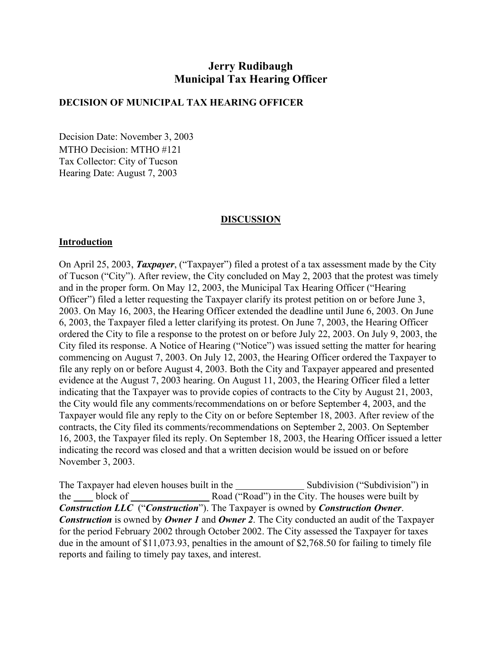# **Jerry Rudibaugh Municipal Tax Hearing Officer**

#### **DECISION OF MUNICIPAL TAX HEARING OFFICER**

Decision Date: November 3, 2003 MTHO Decision: MTHO #121 Tax Collector: City of Tucson Hearing Date: August 7, 2003

#### **DISCUSSION**

#### **Introduction**

On April 25, 2003, *Taxpayer*, ("Taxpayer") filed a protest of a tax assessment made by the City of Tucson ("City"). After review, the City concluded on May 2, 2003 that the protest was timely and in the proper form. On May 12, 2003, the Municipal Tax Hearing Officer ("Hearing Officer") filed a letter requesting the Taxpayer clarify its protest petition on or before June 3, 2003. On May 16, 2003, the Hearing Officer extended the deadline until June 6, 2003. On June 6, 2003, the Taxpayer filed a letter clarifying its protest. On June 7, 2003, the Hearing Officer ordered the City to file a response to the protest on or before July 22, 2003. On July 9, 2003, the City filed its response. A Notice of Hearing ("Notice") was issued setting the matter for hearing commencing on August 7, 2003. On July 12, 2003, the Hearing Officer ordered the Taxpayer to file any reply on or before August 4, 2003. Both the City and Taxpayer appeared and presented evidence at the August 7, 2003 hearing. On August 11, 2003, the Hearing Officer filed a letter indicating that the Taxpayer was to provide copies of contracts to the City by August 21, 2003, the City would file any comments/recommendations on or before September 4, 2003, and the Taxpayer would file any reply to the City on or before September 18, 2003. After review of the contracts, the City filed its comments/recommendations on September 2, 2003. On September 16, 2003, the Taxpayer filed its reply. On September 18, 2003, the Hearing Officer issued a letter indicating the record was closed and that a written decision would be issued on or before November 3, 2003.

The Taxpayer had eleven houses built in the Subdivision ("Subdivision") in the block of Road ("Road") in the City. The houses were built by *Construction LLC* ("*Construction*"). The Taxpayer is owned by *Construction Owner*. *Construction* is owned by *Owner 1* and *Owner 2*. The City conducted an audit of the Taxpayer for the period February 2002 through October 2002. The City assessed the Taxpayer for taxes due in the amount of \$11,073.93, penalties in the amount of \$2,768.50 for failing to timely file reports and failing to timely pay taxes, and interest.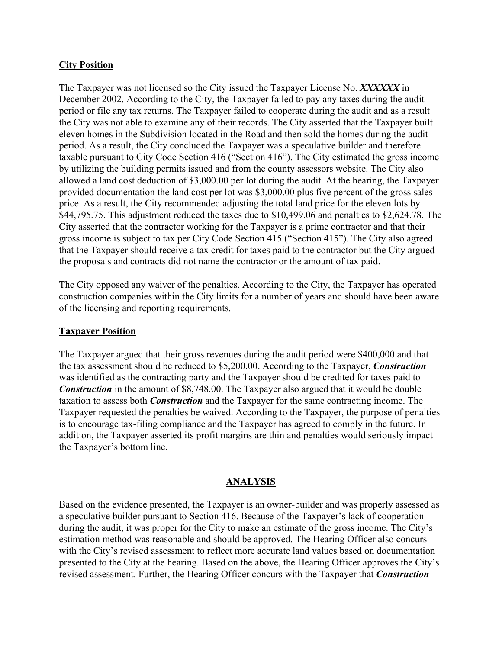### **City Position**

The Taxpayer was not licensed so the City issued the Taxpayer License No. *XXXXXX* in December 2002. According to the City, the Taxpayer failed to pay any taxes during the audit period or file any tax returns. The Taxpayer failed to cooperate during the audit and as a result the City was not able to examine any of their records. The City asserted that the Taxpayer built eleven homes in the Subdivision located in the Road and then sold the homes during the audit period. As a result, the City concluded the Taxpayer was a speculative builder and therefore taxable pursuant to City Code Section 416 ("Section 416"). The City estimated the gross income by utilizing the building permits issued and from the county assessors website. The City also allowed a land cost deduction of \$3,000.00 per lot during the audit. At the hearing, the Taxpayer provided documentation the land cost per lot was \$3,000.00 plus five percent of the gross sales price. As a result, the City recommended adjusting the total land price for the eleven lots by \$44,795.75. This adjustment reduced the taxes due to \$10,499.06 and penalties to \$2,624.78. The City asserted that the contractor working for the Taxpayer is a prime contractor and that their gross income is subject to tax per City Code Section 415 ("Section 415"). The City also agreed that the Taxpayer should receive a tax credit for taxes paid to the contractor but the City argued the proposals and contracts did not name the contractor or the amount of tax paid.

The City opposed any waiver of the penalties. According to the City, the Taxpayer has operated construction companies within the City limits for a number of years and should have been aware of the licensing and reporting requirements.

### **Taxpayer Position**

The Taxpayer argued that their gross revenues during the audit period were \$400,000 and that the tax assessment should be reduced to \$5,200.00. According to the Taxpayer, *Construction* was identified as the contracting party and the Taxpayer should be credited for taxes paid to *Construction* in the amount of \$8,748.00. The Taxpayer also argued that it would be double taxation to assess both *Construction* and the Taxpayer for the same contracting income. The Taxpayer requested the penalties be waived. According to the Taxpayer, the purpose of penalties is to encourage tax-filing compliance and the Taxpayer has agreed to comply in the future. In addition, the Taxpayer asserted its profit margins are thin and penalties would seriously impact the Taxpayer's bottom line.

### **ANALYSIS**

Based on the evidence presented, the Taxpayer is an owner-builder and was properly assessed as a speculative builder pursuant to Section 416. Because of the Taxpayer's lack of cooperation during the audit, it was proper for the City to make an estimate of the gross income. The City's estimation method was reasonable and should be approved. The Hearing Officer also concurs with the City's revised assessment to reflect more accurate land values based on documentation presented to the City at the hearing. Based on the above, the Hearing Officer approves the City's revised assessment. Further, the Hearing Officer concurs with the Taxpayer that *Construction*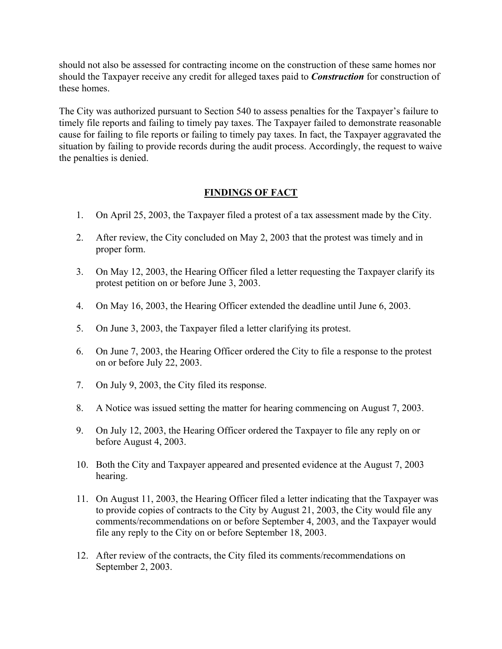should not also be assessed for contracting income on the construction of these same homes nor should the Taxpayer receive any credit for alleged taxes paid to *Construction* for construction of these homes.

The City was authorized pursuant to Section 540 to assess penalties for the Taxpayer's failure to timely file reports and failing to timely pay taxes. The Taxpayer failed to demonstrate reasonable cause for failing to file reports or failing to timely pay taxes. In fact, the Taxpayer aggravated the situation by failing to provide records during the audit process. Accordingly, the request to waive the penalties is denied.

## **FINDINGS OF FACT**

- 1. On April 25, 2003, the Taxpayer filed a protest of a tax assessment made by the City.
- 2. After review, the City concluded on May 2, 2003 that the protest was timely and in proper form.
- 3. On May 12, 2003, the Hearing Officer filed a letter requesting the Taxpayer clarify its protest petition on or before June 3, 2003.
- 4. On May 16, 2003, the Hearing Officer extended the deadline until June 6, 2003.
- 5. On June 3, 2003, the Taxpayer filed a letter clarifying its protest.
- 6. On June 7, 2003, the Hearing Officer ordered the City to file a response to the protest on or before July 22, 2003.
- 7. On July 9, 2003, the City filed its response.
- 8. A Notice was issued setting the matter for hearing commencing on August 7, 2003.
- 9. On July 12, 2003, the Hearing Officer ordered the Taxpayer to file any reply on or before August 4, 2003.
- 10. Both the City and Taxpayer appeared and presented evidence at the August 7, 2003 hearing.
- 11. On August 11, 2003, the Hearing Officer filed a letter indicating that the Taxpayer was to provide copies of contracts to the City by August 21, 2003, the City would file any comments/recommendations on or before September 4, 2003, and the Taxpayer would file any reply to the City on or before September 18, 2003.
- 12. After review of the contracts, the City filed its comments/recommendations on September 2, 2003.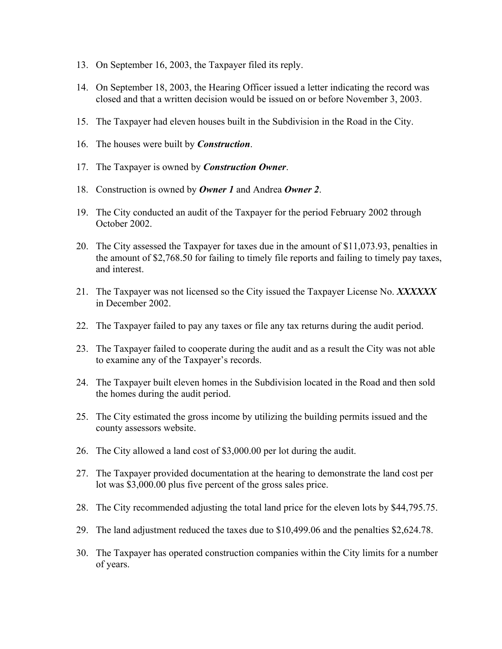- 13. On September 16, 2003, the Taxpayer filed its reply.
- 14. On September 18, 2003, the Hearing Officer issued a letter indicating the record was closed and that a written decision would be issued on or before November 3, 2003.
- 15. The Taxpayer had eleven houses built in the Subdivision in the Road in the City.
- 16. The houses were built by *Construction*.
- 17. The Taxpayer is owned by *Construction Owner*.
- 18. Construction is owned by *Owner 1* and Andrea *Owner 2*.
- 19. The City conducted an audit of the Taxpayer for the period February 2002 through October 2002.
- 20. The City assessed the Taxpayer for taxes due in the amount of \$11,073.93, penalties in the amount of \$2,768.50 for failing to timely file reports and failing to timely pay taxes, and interest.
- 21. The Taxpayer was not licensed so the City issued the Taxpayer License No. *XXXXXX* in December 2002.
- 22. The Taxpayer failed to pay any taxes or file any tax returns during the audit period.
- 23. The Taxpayer failed to cooperate during the audit and as a result the City was not able to examine any of the Taxpayer's records.
- 24. The Taxpayer built eleven homes in the Subdivision located in the Road and then sold the homes during the audit period.
- 25. The City estimated the gross income by utilizing the building permits issued and the county assessors website.
- 26. The City allowed a land cost of \$3,000.00 per lot during the audit.
- 27. The Taxpayer provided documentation at the hearing to demonstrate the land cost per lot was \$3,000.00 plus five percent of the gross sales price.
- 28. The City recommended adjusting the total land price for the eleven lots by \$44,795.75.
- 29. The land adjustment reduced the taxes due to \$10,499.06 and the penalties \$2,624.78.
- 30. The Taxpayer has operated construction companies within the City limits for a number of years.